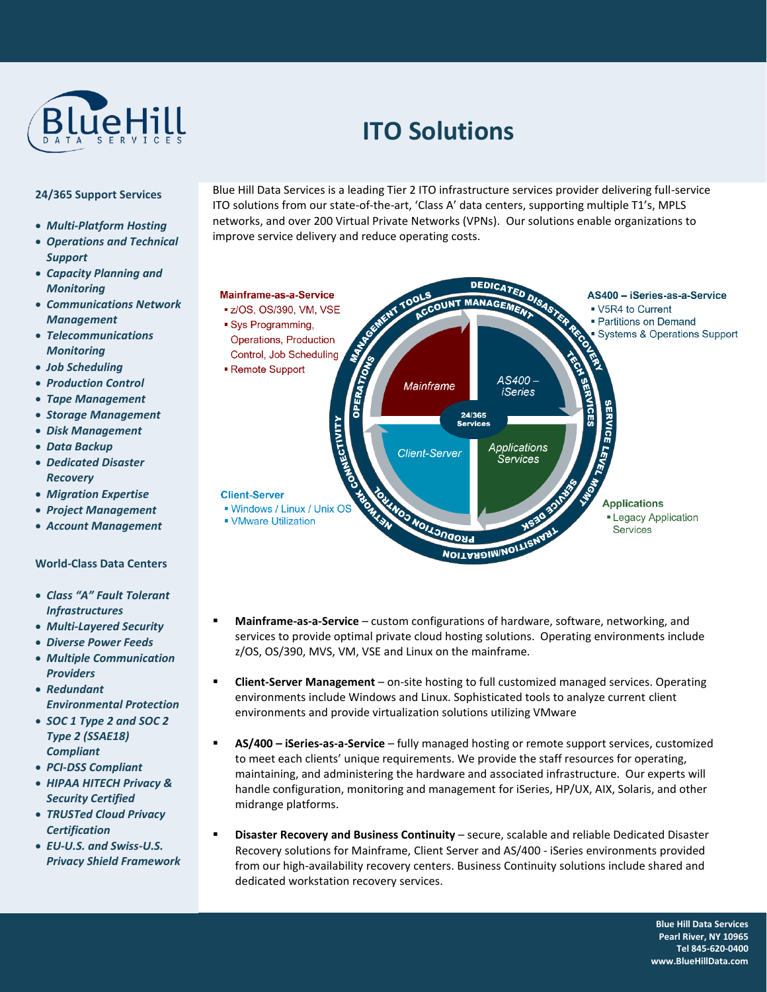

# **ITO Solutions**

## **24/365 Support Services**

- *Multi-Platform Hosting*
- *Operations and Technical Support*
- *Capacity Planning and Monitoring*
- *Communications Network Management*
- *Telecommunications Monitoring*
- *Job Scheduling*
- *Production Control*
- *Tape Management*
- *Storage Management*
- *Disk Management*
- *Data Backup*
- *Dedicated Disaster Recovery*
- *Migration Expertise*
- *Project Management*
- *Account Management*

# **World-Class Data Centers**

- *Class "A" Fault Tolerant Infrastructures*
- *Multi-Layered Security*
- *Diverse Power Feeds*
- *Multiple Communication Providers*
- *Redundant Environmental Protection*
- *SOC 1 Type 2 and SOC 2 Type 2 (SSAE18) Compliant*
- *PCI-DSS Compliant*
- *HIPAA HITECH Privacy & Security Certified*
- *TRUSTed Cloud Privacy Certification*
- *EU-U.S. and Swiss-U.S. Privacy Shield Framework*

Blue Hill Data Services is a leading Tier 2 ITO infrastructure services provider delivering full-service ITO solutions from our state-of-the-art, 'Class A' data centers, supporting multiple T1's, MPLS networks, and over 200 Virtual Private Networks (VPNs). Our solutions enable organizations to improve service delivery and reduce operating costs.



- **Mainframe-as-a-Service** custom configurations of hardware, software, networking, and services to provide optimal private cloud hosting solutions. Operating environments include z/OS, OS/390, MVS, VM, VSE and Linux on the mainframe.
- **Client-Server Management** on-site hosting to full customized managed services. Operating environments include Windows and Linux. Sophisticated tools to analyze current client environments and provide virtualization solutions utilizing VMware
- **AS/400 – iSeries-as-a-Service** fully managed hosting or remote support services, customized to meet each clients' unique requirements. We provide the staff resources for operating, maintaining, and administering the hardware and associated infrastructure. Our experts will handle configuration, monitoring and management for iSeries, HP/UX, AIX, Solaris, and other midrange platforms.
- **Disaster Recovery and Business Continuity** secure, scalable and reliable Dedicated Disaster Recovery solutions for Mainframe, Client Server and AS/400 - iSeries environments provided from our high-availability recovery centers. Business Continuity solutions include shared and dedicated workstation recovery services.

w